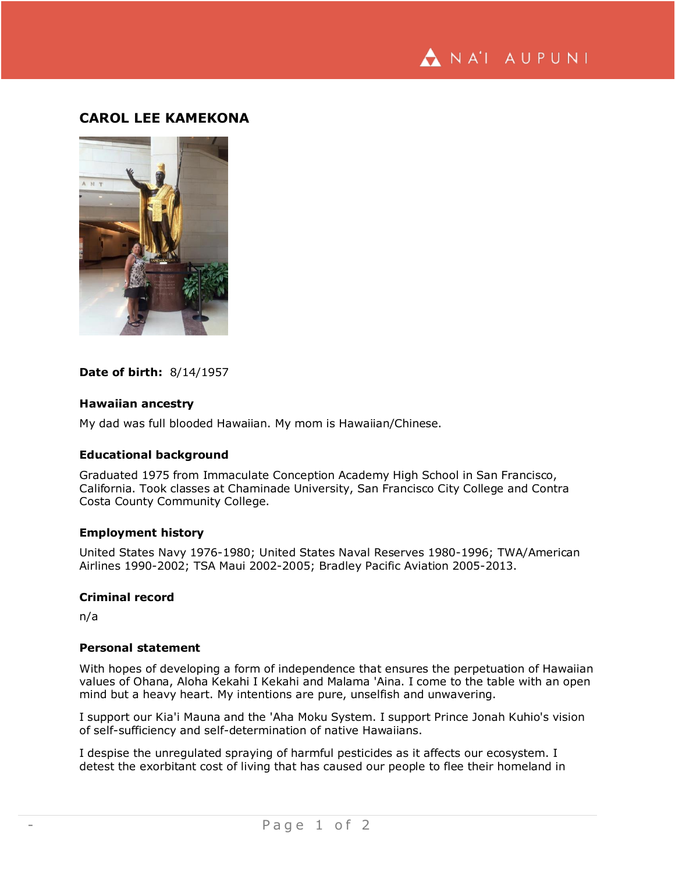NA'I AUPUNI

# **CAROL LEE KAMEKONA**



### **Date of birth:** 8/14/1957

### **Hawaiian ancestry**

My dad was full blooded Hawaiian. My mom is Hawaiian/Chinese.

### **Educational background**

Graduated 1975 from Immaculate Conception Academy High School in San Francisco, California. Took classes at Chaminade University, San Francisco City College and Contra Costa County Community College.

## **Employment history**

United States Navy 1976-1980; United States Naval Reserves 1980-1996; TWA/American Airlines 1990-2002; TSA Maui 2002-2005; Bradley Pacific Aviation 2005-2013.

### **Criminal record**

n/a

### **Personal statement**

With hopes of developing a form of independence that ensures the perpetuation of Hawaiian values of Ohana, Aloha Kekahi I Kekahi and Malama 'Aina. I come to the table with an open mind but a heavy heart. My intentions are pure, unselfish and unwavering.

I support our Kia'i Mauna and the 'Aha Moku System. I support Prince Jonah Kuhio's vision of self-sufficiency and self-determination of native Hawaiians.

I despise the unregulated spraying of harmful pesticides as it affects our ecosystem. I detest the exorbitant cost of living that has caused our people to flee their homeland in